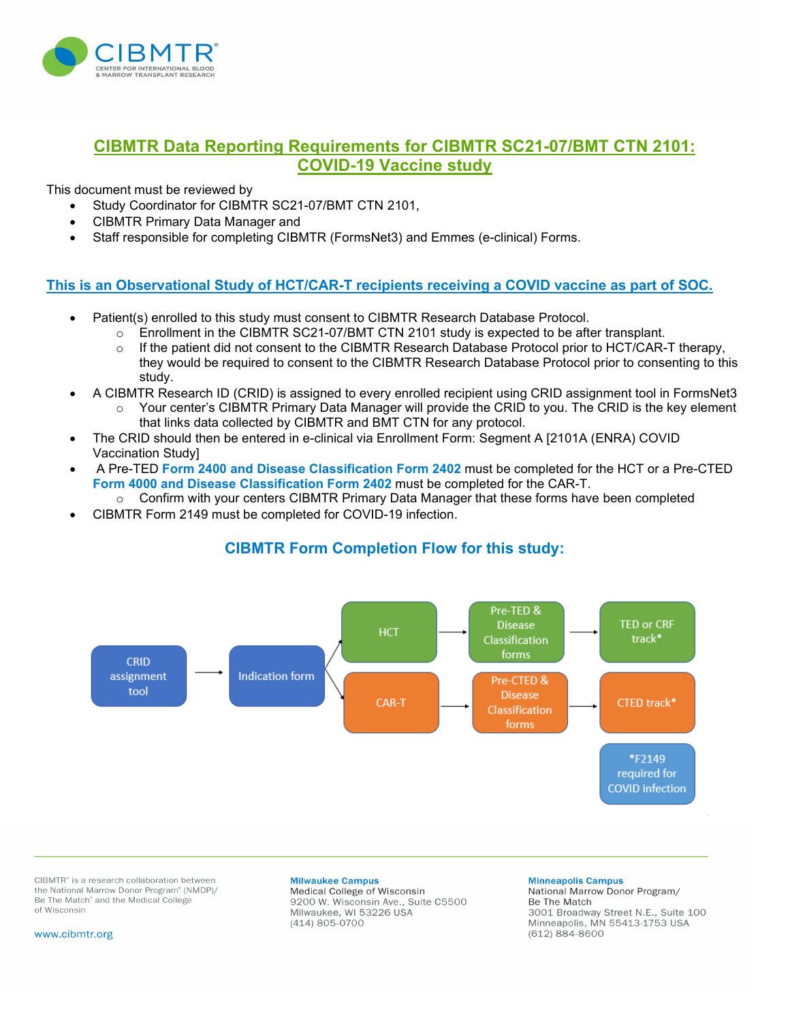

# **CIBMTR Data Reporting Requirements for CIBMTR SC21-07/BMT CTN 2101: COVID-19 Vaccine study**

This document must be reviewed by

- Study Coordinator for CIBMTR SC21-07/BMT CTN 2101,
- CIBMTR Primary Data Manager and
- Staff responsible for completing CIBMTR (FormsNet3) and Emmes (e-clinical) Forms.

### **This is an Observational Study of HCT/CAR-T recipients receiving a COVID vaccine as part of SOC.**

- Patient(s) enrolled to this study must consent to CIBMTR Research Database Protocol.
	- $\circ$  Enrollment in the CIBMTR SC21-07/BMT CTN 2101 study is expected to be after transplant.<br>  $\circ$  If the patient did not consent to the CIBMTR Research Database Protocol prior to HCT/CAR-
	- If the patient did not consent to the CIBMTR Research Database Protocol prior to HCT/CAR-T therapy, they would be required to consent to the CIBMTR Research Database Protocol prior to consenting to this study.
- A CIBMTR Research ID (CRID) is assigned to every enrolled recipient using CRID assignment tool in FormsNet3
	- $\circ$  Your center's CIBMTR Primary Data Manager will provide the CRID to you. The CRID is the key element that links data collected by CIBMTR and BMT CTN for any protocol.
- The CRID should then be entered in e-clinical via Enrollment Form: Segment A [2101A (ENRA) COVID Vaccination Study]
- A Pre-TED **Form 2400 and Disease Classification Form 2402** must be completed for the HCT or a Pre-CTED **Form 4000 and Disease Classification Form 2402** must be completed for the CAR-T.
	- $\circ$  Confirm with your centers CIBMTR Primary Data Manager that these forms have been completed
- CIBMTR Form 2149 must be completed for COVID-19 infection.



# **CIBMTR Form Completion Flow for this study:**

CIBMTR<sup>\*</sup> is a research collaboration between the National Marrow Donor Program® (NMDP)/ Be The Match<sup>®</sup> and the Medical College of Wisconsin

#### **Milwaukee Campus**

Medical College of Wisconsin 9200 W. Wisconsin Ave., Suite C5500 Milwaukee, WI 53226 USA (414) 805-0700

#### **Minneapolis Campus** National Marrow Donor Program/ Be The Match 3001 Broadway Street N.E., Suite 100 Minneapolis, MN 55413-1753 USA  $(612) 884 - 8600$

www.cibmtr.org